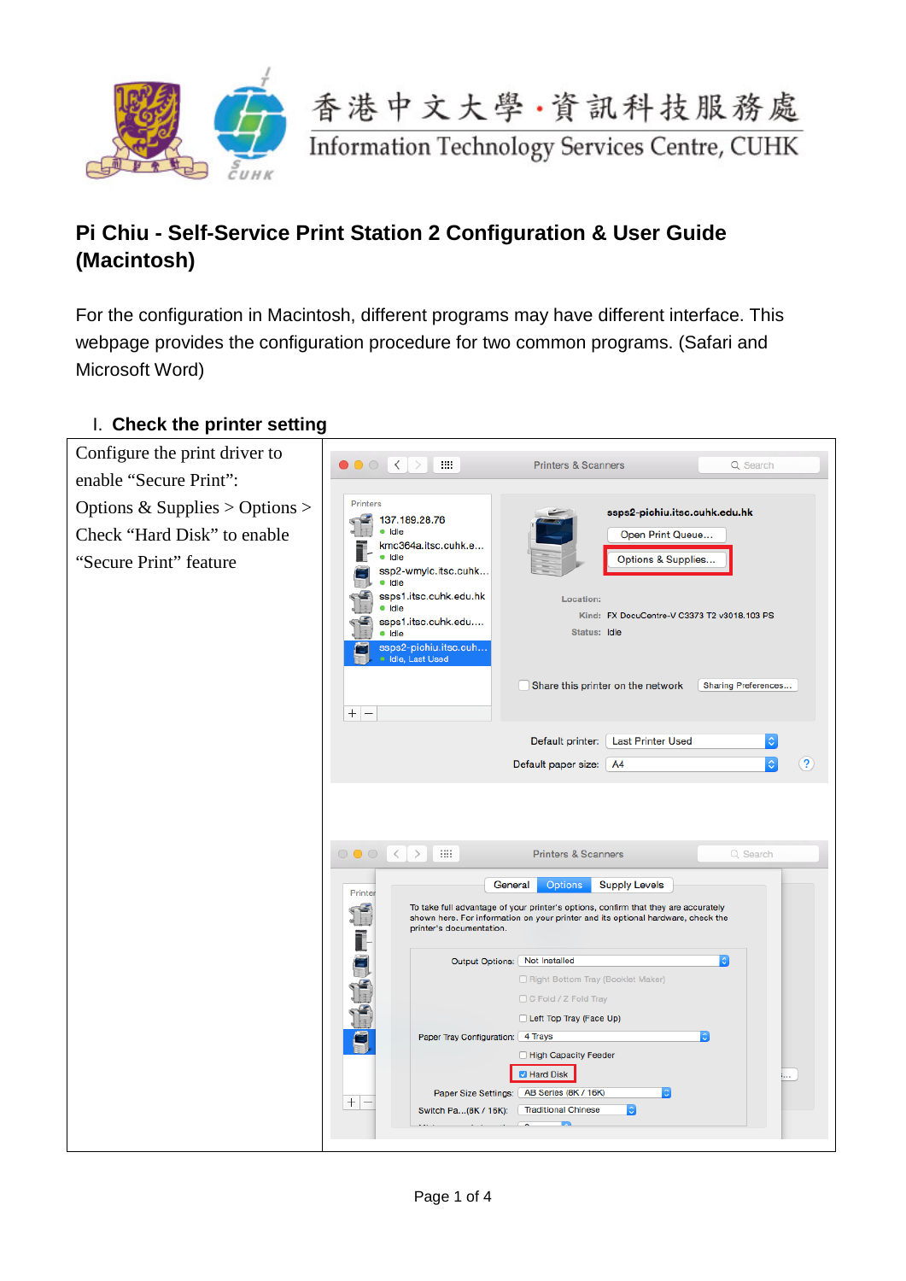



## **Pi Chiu - Self-Service Print Station 2 Configuration & User Guide (Macintosh)**

For the configuration in Macintosh, different programs may have different interface. This webpage provides the configuration procedure for two common programs. (Safari and Microsoft Word)

## Configure the print driver to  $\bullet$   $\bullet$   $\circ$   $\leftrightarrow$   $\bullet$   $\cdots$ **Printers & Scanners** Q Search enable "Secure Print": Options & Supplies > Options > Printers  $137.189.28.76$ ssps2-pichiu.itsc.cuhk.edu.hk Check "Hard Disk" to enable Open Print Queue... kmc364a.itsc.cuhk.e... "Secure Print" feature $\bullet$  Idle Options & Supplies... ssp2-wmylc.itsc.cuhk... · Idle  $\leq$ ssps1.itsc.cuhk.edu.hk Location:  $1 - 3$  $\bullet$  Idle Kind: FX DocuCentre-V C3373 T2 v3018.103 PS ssps1.itsc.cuhk.edu.... Status: Idle · Idle ssps2-pichiu.itsc.cuh<br>• Idle, Last Used Share this printer on the network Sharing Preferences...  $+|-|$ Default printer: Last Printer Used Default paper size: A4  $\left( 2\right)$  $\circ$   $\circ$   $\circ$   $\circ$   $\circ$   $\circ$   $\cdots$ **Printers & Scanners** Q Search General Options Supply Levels Printer I To take full advantage of your printer's options, confirm that they are accurately shown here. For information on your printer and its optional hardware, check the printer's documentation. Ĩ Output Options: Not Installed Ξ Right Bottom Tray (Booklet Maker) C Fold / Z Fold Tray Left Top Tray (Face Up) Paper Tray Configuration: 4 Trays  $\overline{\mathbf{r}}$ High Capacity Feeder **B** Hard Disk Paper Size Settings: AB Series (8K / 16K)  $\overline{\cdot}$  $+|-$ **Traditional Chinese** Switch Pa...(8K / 16K):

## I. **Check the printer setting**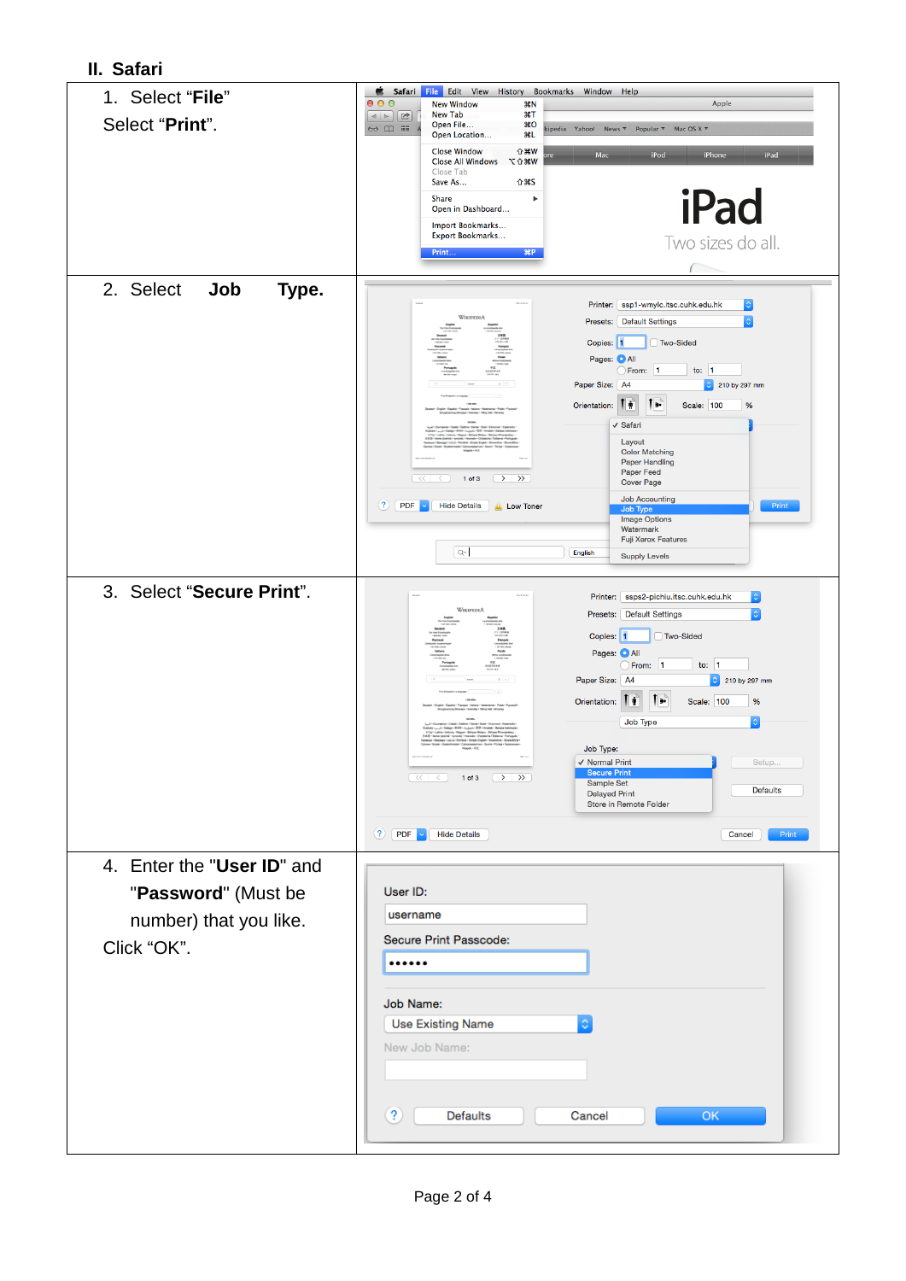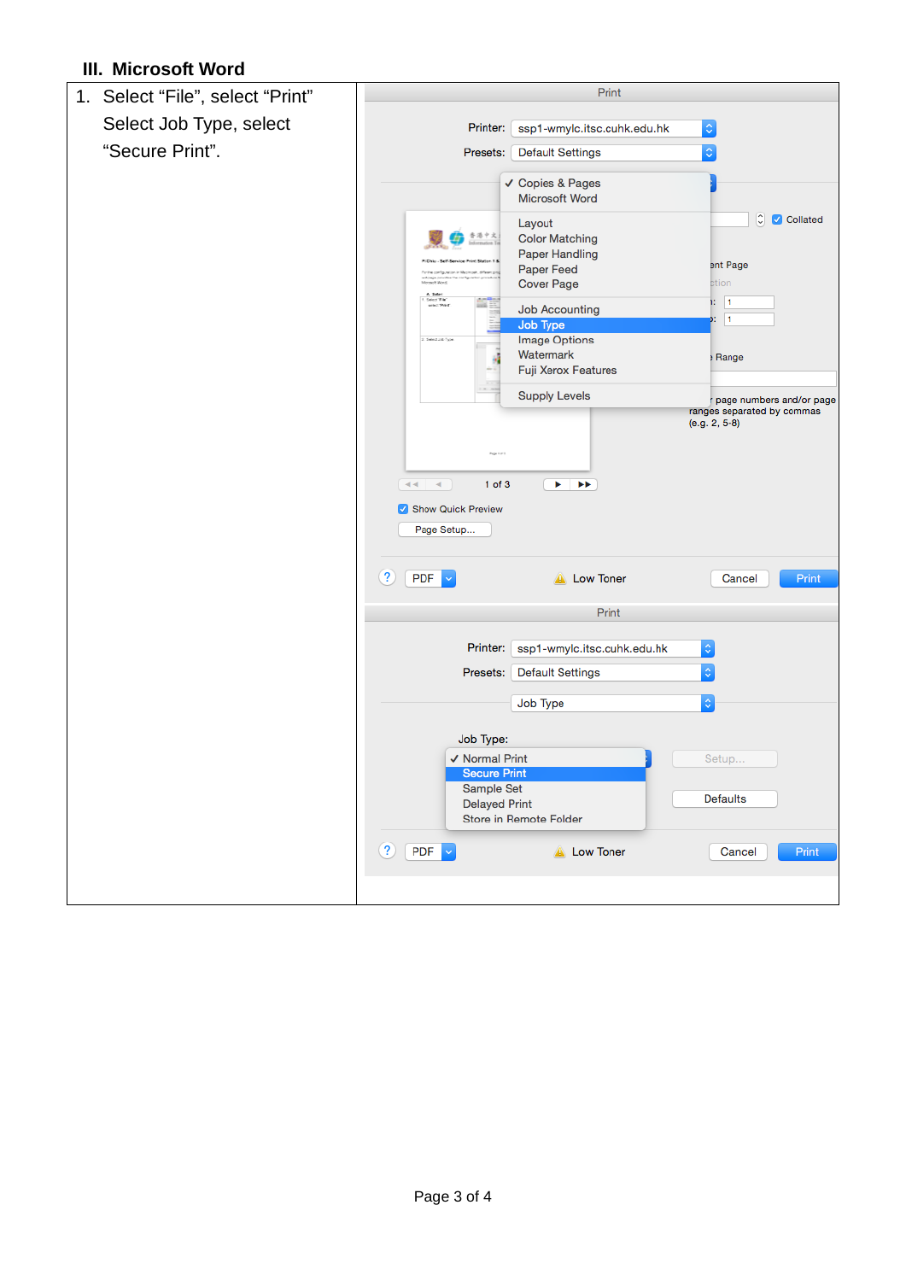## **III. Microsoft Word**

| 1. Select "File", select "Print" | Print                                                                    |
|----------------------------------|--------------------------------------------------------------------------|
| Select Job Type, select          | Printer:                                                                 |
|                                  | $\Diamond$<br>ssp1-wmylc.itsc.cuhk.edu.hk                                |
| "Secure Print".                  | ¢<br>Presets:<br><b>Default Settings</b>                                 |
|                                  | ✔ Copies & Pages                                                         |
|                                  | <b>Microsoft Word</b>                                                    |
|                                  | $\hat{\mathbb{U}}$<br>Collated<br>Layout<br>李港中文                         |
|                                  | <b>Color Matching</b><br>Paper Handling                                  |
|                                  | ent Page<br>Paper Feed                                                   |
|                                  | in the contract<br><b>Cover Page</b><br>of And<br>ction                  |
|                                  | Secritar<br>Microsof<br>10   1<br><b>Job Accounting</b>                  |
|                                  | $\vert$ 1<br>Y.<br>Job Type                                              |
|                                  | <b>Image Options</b><br>2. Select Job Type                               |
|                                  | Watermark<br>Range<br>Fuji Xerox Features                                |
|                                  |                                                                          |
|                                  | <b>Supply Levels</b><br>page numbers and/or page                         |
|                                  | ranges separated by commas<br>$(e.g. 2, 5-8)$                            |
|                                  |                                                                          |
|                                  |                                                                          |
|                                  | $1$ of $3$<br>$44 - 4$<br>▶▶<br>ь                                        |
|                                  | Show Quick Preview                                                       |
|                                  |                                                                          |
|                                  | Page Setup                                                               |
|                                  |                                                                          |
|                                  | $\left( 2\right)$<br><b>PDF</b><br><b>A</b> Low Toner<br>Cancel<br>Print |
|                                  | Print                                                                    |
|                                  |                                                                          |
|                                  | Printer:<br>ssp1-wmylc.itsc.cuhk.edu.hk<br>$\Diamond$                    |
|                                  | $\Diamond$<br>Presets:<br><b>Default Settings</b>                        |
|                                  | $\Diamond$<br>Job Type                                                   |
|                                  |                                                                          |
|                                  | Job Type:                                                                |
|                                  | √ Normal Print<br>Setup                                                  |
|                                  | <b>Secure Print</b><br>Sample Set                                        |
|                                  | Defaults<br><b>Delayed Print</b>                                         |
|                                  | Store in Remote Folder                                                   |
|                                  | $\bf(2)$<br>$PDF \times$<br><b>A</b> Low Toner<br>Cancel<br>Print        |
|                                  |                                                                          |
|                                  |                                                                          |
|                                  |                                                                          |